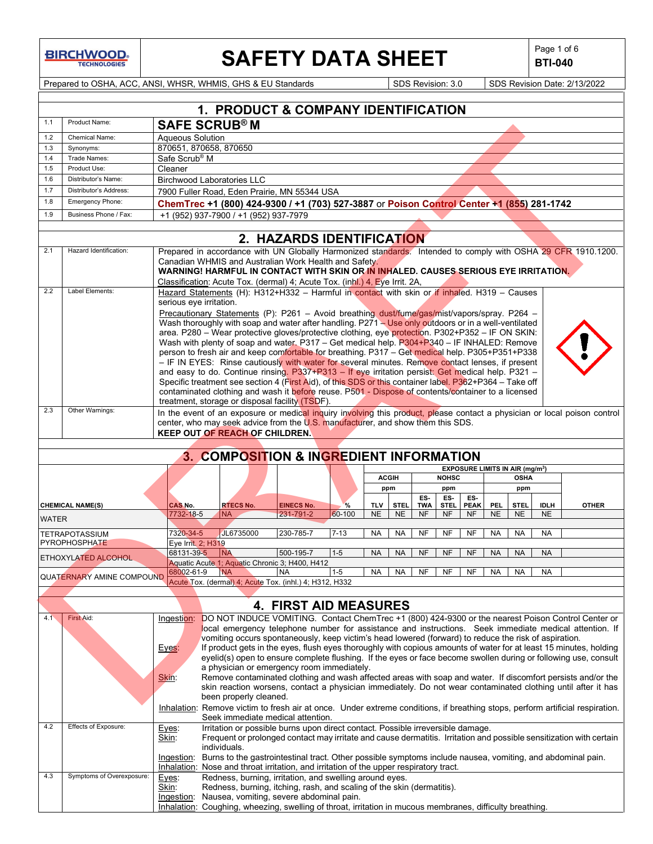# **SAFETY DATA SHEET**  $\left|\begin{array}{c} \mathsf{Page 1 of 6} \\ \mathsf{BTI-040} \end{array}\right|$

**BTI-040**

Prepared to OSHA, ACC, ANSI, WHSR, WHMIS, GHS & EU Standards Superinted SDS Revision: 3.0 SDS Revision Date: 2/13/2022

|              |                                               |                                  | 1. PRODUCT & COMPANY IDENTIFICATION                                                                                                                                                                           |                              |          |               |             |                   |                    |                    |            |                                             |             |              |
|--------------|-----------------------------------------------|----------------------------------|---------------------------------------------------------------------------------------------------------------------------------------------------------------------------------------------------------------|------------------------------|----------|---------------|-------------|-------------------|--------------------|--------------------|------------|---------------------------------------------|-------------|--------------|
| 1.1          | Product Name:                                 |                                  |                                                                                                                                                                                                               |                              |          |               |             |                   |                    |                    |            |                                             |             |              |
|              |                                               |                                  | <b>SAFE SCRUB®M</b>                                                                                                                                                                                           |                              |          |               |             |                   |                    |                    |            |                                             |             |              |
| 1.2<br>1.3   | <b>Chemical Name:</b><br>Synonyms:            | <b>Aqueous Solution</b>          | 870651, 870658, 870650                                                                                                                                                                                        |                              |          |               |             |                   |                    |                    |            |                                             |             |              |
| 1.4          | Trade Names:                                  | Safe Scrub <sup>®</sup> M        |                                                                                                                                                                                                               |                              |          |               |             |                   |                    |                    |            |                                             |             |              |
| 1.5          | Product Use:                                  | Cleaner                          |                                                                                                                                                                                                               |                              |          |               |             |                   |                    |                    |            |                                             |             |              |
| 1.6          | Distributor's Name:                           |                                  | <b>Birchwood Laboratories LLC</b>                                                                                                                                                                             |                              |          |               |             |                   |                    |                    |            |                                             |             |              |
| 1.7          | Distributor's Address:                        |                                  | 7900 Fuller Road, Eden Prairie, MN 55344 USA                                                                                                                                                                  |                              |          |               |             |                   |                    |                    |            |                                             |             |              |
| 1.8          | <b>Emergency Phone:</b>                       |                                  | ChemTrec +1 (800) 424-9300 / +1 (703) 527-3887 or Poison Control Center +1 (855) 281-1742                                                                                                                     |                              |          |               |             |                   |                    |                    |            |                                             |             |              |
| 1.9          | Business Phone / Fax:                         |                                  | +1 (952) 937-7900 / +1 (952) 937-7979                                                                                                                                                                         |                              |          |               |             |                   |                    |                    |            |                                             |             |              |
|              |                                               |                                  |                                                                                                                                                                                                               |                              |          |               |             |                   |                    |                    |            |                                             |             |              |
|              |                                               |                                  |                                                                                                                                                                                                               | 2. HAZARDS IDENTIFICATION    |          |               |             |                   |                    |                    |            |                                             |             |              |
| 2.1          | Hazard Identification:                        |                                  | Prepared in accordance with UN Globally Harmonized standards. Intended to comply with OSHA 29 CFR 1910.1200.                                                                                                  |                              |          |               |             |                   |                    |                    |            |                                             |             |              |
|              |                                               |                                  | Canadian WHMIS and Australian Work Health and Safety.                                                                                                                                                         |                              |          |               |             |                   |                    |                    |            |                                             |             |              |
|              |                                               |                                  | WARNING! HARMFUL IN CONTACT WITH SKIN OR IN INHALED. CAUSES SERIOUS EYE IRRITATION.                                                                                                                           |                              |          |               |             |                   |                    |                    |            |                                             |             |              |
|              |                                               |                                  | Classification: Acute Tox. (dermal) 4; Acute Tox. (inhl.) 4, Eye Irrit. 2A,                                                                                                                                   |                              |          |               |             |                   |                    |                    |            |                                             |             |              |
| 2.2          | Label Elements:                               |                                  | Hazard Statements (H): H312+H332 - Harmful in contact with skin or if inhaled. H319 - Causes                                                                                                                  |                              |          |               |             |                   |                    |                    |            |                                             |             |              |
|              |                                               | serious eye irritation.          |                                                                                                                                                                                                               |                              |          |               |             |                   |                    |                    |            |                                             |             |              |
|              |                                               |                                  | Precautionary Statements (P): P261 - Avoid breathing dust/fume/gas/mist/vapors/spray. P264 -<br>Wash thoroughly with soap and water after handling. P271 - Use only outdoors or in a well-ventilated          |                              |          |               |             |                   |                    |                    |            |                                             |             |              |
|              |                                               |                                  | area. P280 - Wear protective gloves/protective clothing, eye protection. P302+P352 - IF ON SKIN:                                                                                                              |                              |          |               |             |                   |                    |                    |            |                                             |             |              |
|              |                                               |                                  | Wash with plenty of soap and water, P317 - Get medical help. P304+P340 - IF INHALED: Remove                                                                                                                   |                              |          |               |             |                   |                    |                    |            |                                             |             |              |
|              |                                               |                                  | person to fresh air and keep comfortable for breathing. P317 - Get medical help. P305+P351+P338                                                                                                               |                              |          |               |             |                   |                    |                    |            |                                             |             |              |
|              |                                               |                                  | - IF IN EYES: Rinse cautiously with water for several minutes. Remove contact lenses, if present                                                                                                              |                              |          |               |             |                   |                    |                    |            |                                             |             |              |
|              |                                               |                                  | and easy to do. Continue rinsing. P337+P313 - If eye irritation persist: Get medical help. P321 -                                                                                                             |                              |          |               |             |                   |                    |                    |            |                                             |             |              |
|              |                                               |                                  | Specific treatment see section 4 (First Aid), of this SDS or this container label. P362+P364 - Take off<br>contaminated clothing and wash it before reuse. P501 - Dispose of contents/container to a licensed |                              |          |               |             |                   |                    |                    |            |                                             |             |              |
|              |                                               |                                  | treatment, storage or disposal facility (TSDF).                                                                                                                                                               |                              |          |               |             |                   |                    |                    |            |                                             |             |              |
| 2.3          | Other Warnings:                               |                                  | In the event of an exposure or medical inquiry involving this product, please contact a physician or local poison control                                                                                     |                              |          |               |             |                   |                    |                    |            |                                             |             |              |
|              |                                               |                                  | center, who may seek advice from the U.S. manufacturer, and show them this SDS.                                                                                                                               |                              |          |               |             |                   |                    |                    |            |                                             |             |              |
|              |                                               |                                  | <b>KEEP OUT OF REACH OF CHILDREN.</b>                                                                                                                                                                         |                              |          |               |             |                   |                    |                    |            |                                             |             |              |
|              |                                               |                                  |                                                                                                                                                                                                               |                              |          |               |             |                   |                    |                    |            |                                             |             |              |
|              |                                               |                                  | 3. COMPOSITION & INGREDIENT INFORMATION                                                                                                                                                                       |                              |          |               |             |                   |                    |                    |            |                                             |             |              |
|              |                                               |                                  |                                                                                                                                                                                                               |                              |          |               |             |                   |                    |                    |            | EXPOSURE LIMITS IN AIR (mg/m <sup>3</sup> ) |             |              |
|              |                                               |                                  |                                                                                                                                                                                                               |                              |          | <b>ACGIII</b> |             |                   | <b>NOHSC</b>       |                    |            | <b>OSHA</b>                                 |             |              |
|              |                                               |                                  |                                                                                                                                                                                                               |                              |          | ppm           |             |                   | ppm                |                    |            | ppm                                         |             |              |
|              | <b>CHEMICAL NAME(S)</b>                       | <b>CAS No.</b>                   | <b>RTECS No.</b>                                                                                                                                                                                              | <b>EINECS No.</b>            | %        | <b>TLV</b>    | <b>STEL</b> | ES-<br><b>TWA</b> | ES-<br><b>STEL</b> | ES-<br><b>PEAK</b> | <b>PEL</b> | <b>STEL</b>                                 | <b>IDLH</b> | <b>OTHER</b> |
| <b>WATER</b> |                                               | 7732-18-5                        | <b>NA</b>                                                                                                                                                                                                     | 231-791-2                    | 60-100   | <b>NE</b>     | <b>NE</b>   | <b>NF</b>         | NF                 | NF                 | <b>NE</b>  | <b>NE</b>                                   | <b>NE</b>   |              |
|              |                                               |                                  |                                                                                                                                                                                                               |                              |          |               |             |                   |                    |                    |            |                                             |             |              |
|              | <b>TETRAPOTASSIUM</b><br><b>PYROPHOSPHATE</b> | 7320-34-5                        | JL6735000                                                                                                                                                                                                     | 230-785-7                    | $7 - 13$ | <b>NA</b>     | <b>NA</b>   | <b>NF</b>         | <b>NF</b>          | <b>NF</b>          | <b>NA</b>  | <b>NA</b>                                   | <b>NA</b>   |              |
|              |                                               | Eye Irrit, 2; H319<br>68131-39-5 | <b>NA</b>                                                                                                                                                                                                     | 500-195-7                    | $1-5$    | <b>NA</b>     | <b>NA</b>   | <b>NF</b>         | <b>NF</b>          | <b>NF</b>          | <b>NA</b>  | <b>NA</b>                                   | <b>NA</b>   |              |
|              | ETHOXYLATED ALCOHOL                           |                                  | Aquatic Acute 1; Aquatic Chronic 3; H400, H412                                                                                                                                                                |                              |          |               |             |                   |                    |                    |            |                                             |             |              |
|              | <b>QUATERNARY AMINE COMPOUND</b>              |                                  | 68002-61-9 NA                                                                                                                                                                                                 | <b>NA</b>                    | $1-5$    | <b>NA</b>     | <b>NA</b>   | <b>NF</b>         | <b>NF</b>          | <b>NF</b>          | <b>NA</b>  | <b>NA</b>                                   | <b>NA</b>   |              |
|              |                                               |                                  | Acute Tox. (dermal) 4; Acute Tox. (inhl.) 4; H312, H332                                                                                                                                                       |                              |          |               |             |                   |                    |                    |            |                                             |             |              |
|              |                                               |                                  |                                                                                                                                                                                                               |                              |          |               |             |                   |                    |                    |            |                                             |             |              |
|              |                                               |                                  |                                                                                                                                                                                                               | <b>4. FIRST AID MEASURES</b> |          |               |             |                   |                    |                    |            |                                             |             |              |
| 4.1          | First Aid:                                    | Ingestion:                       | DO NOT INDUCE VOMITING. Contact ChemTrec +1 (800) 424-9300 or the nearest Poison Control Center or                                                                                                            |                              |          |               |             |                   |                    |                    |            |                                             |             |              |
|              |                                               |                                  | local emergency telephone number for assistance and instructions. Seek immediate medical attention. If                                                                                                        |                              |          |               |             |                   |                    |                    |            |                                             |             |              |
|              |                                               |                                  | vomiting occurs spontaneously, keep victim's head lowered (forward) to reduce the risk of aspiration.                                                                                                         |                              |          |               |             |                   |                    |                    |            |                                             |             |              |
|              |                                               | Eyes:                            | If product gets in the eyes, flush eyes thoroughly with copious amounts of water for at least 15 minutes, holding                                                                                             |                              |          |               |             |                   |                    |                    |            |                                             |             |              |
|              |                                               |                                  | eyelid(s) open to ensure complete flushing. If the eyes or face become swollen during or following use, consult<br>a physician or emergency room immediately.                                                 |                              |          |               |             |                   |                    |                    |            |                                             |             |              |
|              |                                               | <u>Skin:</u>                     | Remove contaminated clothing and wash affected areas with soap and water. If discomfort persists and/or the                                                                                                   |                              |          |               |             |                   |                    |                    |            |                                             |             |              |
|              |                                               |                                  | skin reaction worsens, contact a physician immediately. Do not wear contaminated clothing until after it has                                                                                                  |                              |          |               |             |                   |                    |                    |            |                                             |             |              |
|              |                                               |                                  | been properly cleaned.                                                                                                                                                                                        |                              |          |               |             |                   |                    |                    |            |                                             |             |              |
|              |                                               |                                  | Inhalation: Remove victim to fresh air at once. Under extreme conditions, if breathing stops, perform artificial respiration.                                                                                 |                              |          |               |             |                   |                    |                    |            |                                             |             |              |
|              |                                               |                                  | Seek immediate medical attention.                                                                                                                                                                             |                              |          |               |             |                   |                    |                    |            |                                             |             |              |
| 4.2          | Effects of Exposure:                          | Eyes:                            | Irritation or possible burns upon direct contact. Possible irreversible damage.                                                                                                                               |                              |          |               |             |                   |                    |                    |            |                                             |             |              |
|              |                                               | Skin:                            | Frequent or prolonged contact may irritate and cause dermatitis. Irritation and possible sensitization with certain                                                                                           |                              |          |               |             |                   |                    |                    |            |                                             |             |              |
|              |                                               |                                  | individuals.                                                                                                                                                                                                  |                              |          |               |             |                   |                    |                    |            |                                             |             |              |
|              |                                               |                                  | Ingestion: Burns to the gastrointestinal tract. Other possible symptoms include nausea, vomiting, and abdominal pain.                                                                                         |                              |          |               |             |                   |                    |                    |            |                                             |             |              |
| 4.3          |                                               |                                  |                                                                                                                                                                                                               |                              |          |               |             |                   |                    |                    |            |                                             |             |              |
|              |                                               |                                  | Inhalation: Nose and throat irritation, and irritation of the upper respiratory tract.                                                                                                                        |                              |          |               |             |                   |                    |                    |            |                                             |             |              |
|              | Symptoms of Overexposure:                     | Eyes:                            | Redness, burning, irritation, and swelling around eyes.                                                                                                                                                       |                              |          |               |             |                   |                    |                    |            |                                             |             |              |
|              |                                               | Skin:                            | Redness, burning, itching, rash, and scaling of the skin (dermatitis).<br>Ingestion: Nausea, vomiting, severe abdominal pain.                                                                                 |                              |          |               |             |                   |                    |                    |            |                                             |             |              |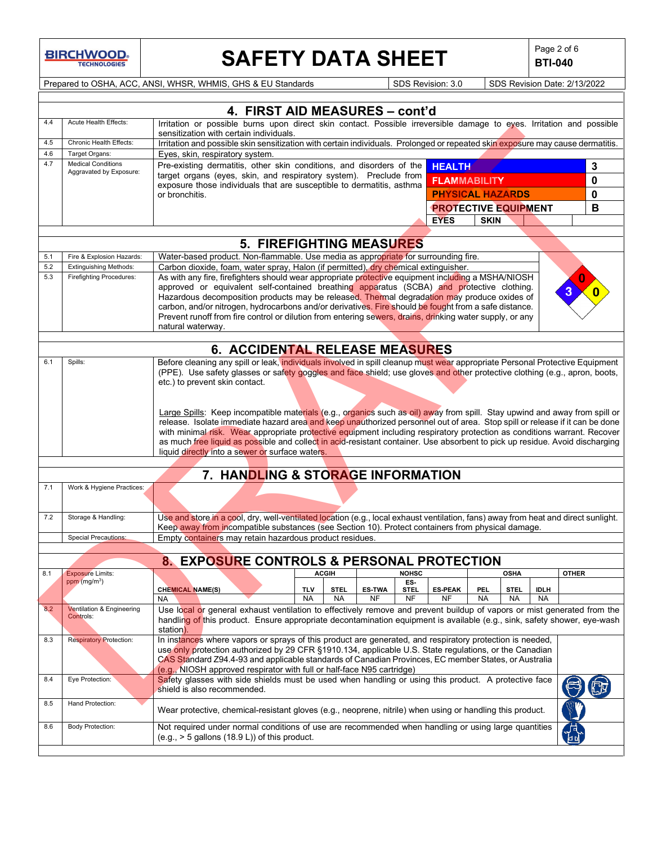# **SAFETY DATA SHEET**  $\left|\begin{array}{c} \text{Page 2 of 6} \\ \text{BIT-040} \end{array}\right|$

**BTI-040**

Prepared to OSHA, ACC, ANSI, WHSR, WHMIS, GHS & EU Standards Superinted SDS Revision: 3.0 SDS Revision Date: 2/13/2022

|            |                                                                                                                                                           | 4. FIRST AID MEASURES - cont'd                                                                                                                                                                                                                            |                         |                          |                            |                          |                             |                  |             |                          |              |  |
|------------|-----------------------------------------------------------------------------------------------------------------------------------------------------------|-----------------------------------------------------------------------------------------------------------------------------------------------------------------------------------------------------------------------------------------------------------|-------------------------|--------------------------|----------------------------|--------------------------|-----------------------------|------------------|-------------|--------------------------|--------------|--|
| 4.4        | Acute Health Effects:                                                                                                                                     | Irritation or possible burns upon direct skin contact. Possible irreversible damage to eyes. Irritation and possible                                                                                                                                      |                         |                          |                            |                          |                             |                  |             |                          |              |  |
|            |                                                                                                                                                           | sensitization with certain individuals.                                                                                                                                                                                                                   |                         |                          |                            |                          |                             |                  |             |                          |              |  |
| 4.5        | Chronic Health Effects:<br>Irritation and possible skin sensitization with certain individuals. Prolonged or repeated skin exposure may cause dermatitis. |                                                                                                                                                                                                                                                           |                         |                          |                            |                          |                             |                  |             |                          |              |  |
| 4.6<br>4.7 | Target Organs:<br><b>Medical Conditions</b>                                                                                                               | Eyes, skin, respiratory system.                                                                                                                                                                                                                           |                         |                          |                            |                          |                             |                  |             |                          |              |  |
|            | Aggravated by Exposure:                                                                                                                                   | Pre-existing dermatitis, other skin conditions, and disorders of the<br><b>HEALTH</b><br>target organs (eyes, skin, and respiratory system). Preclude from                                                                                                |                         |                          |                            |                          |                             |                  |             | 3                        |              |  |
|            |                                                                                                                                                           | exposure those individuals that are susceptible to dermatitis, asthma                                                                                                                                                                                     |                         |                          |                            |                          | <b>FLAMMABILITY</b>         |                  |             |                          | $\mathbf 0$  |  |
|            |                                                                                                                                                           | or bronchitis.                                                                                                                                                                                                                                            |                         |                          |                            |                          | <b>PHYSICAL HAZARDS</b>     |                  |             |                          | 0            |  |
|            |                                                                                                                                                           |                                                                                                                                                                                                                                                           |                         |                          |                            |                          | <b>PROTECTIVE EQUIPMENT</b> |                  |             |                          | В            |  |
|            |                                                                                                                                                           |                                                                                                                                                                                                                                                           |                         |                          |                            |                          | <b>EYES</b>                 | <b>SKIN</b>      |             |                          |              |  |
|            |                                                                                                                                                           |                                                                                                                                                                                                                                                           |                         |                          |                            |                          |                             |                  |             |                          |              |  |
|            |                                                                                                                                                           | <b>5. FIREFIGHTING MEASURES</b>                                                                                                                                                                                                                           |                         |                          |                            |                          |                             |                  |             |                          |              |  |
| 5.1<br>5.2 | Fire & Explosion Hazards:<br><b>Extinguishing Methods:</b>                                                                                                | Water-based product. Non-flammable. Use media as appropriate for surrounding fire.<br>Carbon dioxide, foam, water spray, Halon (if permitted), dry chemical extinguisher.                                                                                 |                         |                          |                            |                          |                             |                  |             |                          |              |  |
| 5.3        | <b>Firefighting Procedures:</b>                                                                                                                           | As with any fire, firefighters should wear appropriate protective equipment including a MSHA/NIOSH                                                                                                                                                        |                         |                          |                            |                          |                             |                  |             |                          |              |  |
|            |                                                                                                                                                           | approved or equivalent self-contained breathing apparatus (SCBA) and protective clothing.                                                                                                                                                                 |                         |                          |                            |                          |                             |                  |             |                          |              |  |
|            |                                                                                                                                                           | Hazardous decomposition products may be released. Thermal degradation may produce oxides of                                                                                                                                                               |                         |                          |                            |                          |                             |                  |             |                          |              |  |
|            |                                                                                                                                                           | carbon, and/or nitrogen, hydrocarbons and/or derivatives. Fire should be fought from a safe distance.                                                                                                                                                     |                         |                          |                            |                          |                             |                  |             |                          |              |  |
|            |                                                                                                                                                           | Prevent runoff from fire control or dilution from entering sewers, drains, drinking water supply, or any                                                                                                                                                  |                         |                          |                            |                          |                             |                  |             |                          |              |  |
|            |                                                                                                                                                           | natural waterway.                                                                                                                                                                                                                                         |                         |                          |                            |                          |                             |                  |             |                          |              |  |
|            |                                                                                                                                                           | 6. ACCIDENTAL RELEASE MEASURES                                                                                                                                                                                                                            |                         |                          |                            |                          |                             |                  |             |                          |              |  |
| 6.1        | Spills:                                                                                                                                                   | Before cleaning any spill or leak, individuals involved in spill cleanup must wear appropriate Personal Protective Equipment                                                                                                                              |                         |                          |                            |                          |                             |                  |             |                          |              |  |
|            |                                                                                                                                                           | (PPE). Use safety glasses or safety goggles and face shield; use gloves and other protective clothing (e.g., apron, boots,                                                                                                                                |                         |                          |                            |                          |                             |                  |             |                          |              |  |
|            |                                                                                                                                                           | etc.) to prevent skin contact.                                                                                                                                                                                                                            |                         |                          |                            |                          |                             |                  |             |                          |              |  |
|            |                                                                                                                                                           |                                                                                                                                                                                                                                                           |                         |                          |                            |                          |                             |                  |             |                          |              |  |
|            |                                                                                                                                                           |                                                                                                                                                                                                                                                           |                         |                          |                            |                          |                             |                  |             |                          |              |  |
|            |                                                                                                                                                           | Large Spills: Keep incompatible materials (e.g., organics such as oil) away from spill. Stay upwind and away from spill or<br>release. Isolate immediate hazard area and keep unauthorized personnel out of area. Stop spill or release if it can be done |                         |                          |                            |                          |                             |                  |             |                          |              |  |
|            |                                                                                                                                                           | with minimal risk. Wear appropriate protective equipment including respiratory protection as conditions warrant. Recover                                                                                                                                  |                         |                          |                            |                          |                             |                  |             |                          |              |  |
|            |                                                                                                                                                           | as much free liquid as possible and collect in acid-resistant container. Use absorbent to pick up residue. Avoid discharging                                                                                                                              |                         |                          |                            |                          |                             |                  |             |                          |              |  |
|            |                                                                                                                                                           | liquid directly into a sewer or surface waters.                                                                                                                                                                                                           |                         |                          |                            |                          |                             |                  |             |                          |              |  |
|            |                                                                                                                                                           |                                                                                                                                                                                                                                                           |                         |                          |                            |                          |                             |                  |             |                          |              |  |
|            |                                                                                                                                                           | 7. HANDLING & STORAGE INFORMATION                                                                                                                                                                                                                         |                         |                          |                            |                          |                             |                  |             |                          |              |  |
| 7.1        | Work & Hygiene Practices:                                                                                                                                 |                                                                                                                                                                                                                                                           |                         |                          |                            |                          |                             |                  |             |                          |              |  |
|            |                                                                                                                                                           |                                                                                                                                                                                                                                                           |                         |                          |                            |                          |                             |                  |             |                          |              |  |
| 7.2        | Storage & Handling:                                                                                                                                       | Use and store in a cool, dry, well-ventilated location (e.g., local exhaust ventilation, fans) away from heat and direct sunlight.                                                                                                                        |                         |                          |                            |                          |                             |                  |             |                          |              |  |
|            |                                                                                                                                                           | Keep away from incompatible substances (see Section 10). Protect containers from physical damage.                                                                                                                                                         |                         |                          |                            |                          |                             |                  |             |                          |              |  |
|            | <b>Special Precautions:</b>                                                                                                                               | Empty containers may retain hazardous product residues.                                                                                                                                                                                                   |                         |                          |                            |                          |                             |                  |             |                          |              |  |
|            |                                                                                                                                                           | 8. EXPOSURE CONTROLS & PERSONAL PROTECTION                                                                                                                                                                                                                |                         |                          |                            |                          |                             |                  |             |                          |              |  |
| 8.1        | <b>Exposure Limits:</b>                                                                                                                                   |                                                                                                                                                                                                                                                           |                         | <b>ACGIH</b>             |                            | <b>NOHSC</b>             |                             |                  | <b>OSHA</b> |                          | <b>OTHER</b> |  |
|            | ppm $(mg/m3)$                                                                                                                                             |                                                                                                                                                                                                                                                           |                         |                          |                            | ES-                      |                             |                  |             |                          |              |  |
|            |                                                                                                                                                           | <b>CHEMICAL NAME(S)</b><br><b>NA</b>                                                                                                                                                                                                                      | <b>TLV</b><br><b>NA</b> | <b>STEL</b><br><b>NA</b> | <b>ES-TWA</b><br><b>NF</b> | <b>STEL</b><br><b>NF</b> | <b>ES-PEAK</b><br>NF        | PEL<br><b>NA</b> | STEL.<br>NA | <b>IDLH</b><br><b>NA</b> |              |  |
| 8.2        | Ventilation & Engineering                                                                                                                                 | Use local or general exhaust ventilation to effectively remove and prevent buildup of vapors or mist generated from the                                                                                                                                   |                         |                          |                            |                          |                             |                  |             |                          |              |  |
|            | Controls:                                                                                                                                                 | handling of this product. Ensure appropriate decontamination equipment is available (e.g., sink, safety shower, eye-wash                                                                                                                                  |                         |                          |                            |                          |                             |                  |             |                          |              |  |
|            |                                                                                                                                                           | station).                                                                                                                                                                                                                                                 |                         |                          |                            |                          |                             |                  |             |                          |              |  |
| 8.3        | <b>Respiratory Protection:</b>                                                                                                                            | In instances where vapors or sprays of this product are generated, and respiratory protection is needed,                                                                                                                                                  |                         |                          |                            |                          |                             |                  |             |                          |              |  |
|            |                                                                                                                                                           | use only protection authorized by 29 CFR §1910.134, applicable U.S. State regulations, or the Canadian                                                                                                                                                    |                         |                          |                            |                          |                             |                  |             |                          |              |  |
|            |                                                                                                                                                           | CAS Standard Z94.4-93 and applicable standards of Canadian Provinces, EC member States, or Australia<br>(e.g., NIOSH approved respirator with full or half-face N95 cartridge)                                                                            |                         |                          |                            |                          |                             |                  |             |                          |              |  |
| 8.4        | Eye Protection:                                                                                                                                           | Safety glasses with side shields must be used when handling or using this product. A protective face                                                                                                                                                      |                         |                          |                            |                          |                             |                  |             |                          |              |  |
|            |                                                                                                                                                           | shield is also recommended.                                                                                                                                                                                                                               |                         |                          |                            |                          |                             |                  |             |                          |              |  |
| 8.5        | Hand Protection:                                                                                                                                          |                                                                                                                                                                                                                                                           |                         |                          |                            |                          |                             |                  |             |                          |              |  |
|            |                                                                                                                                                           | Wear protective, chemical-resistant gloves (e.g., neoprene, nitrile) when using or handling this product.                                                                                                                                                 |                         |                          |                            |                          |                             |                  |             |                          |              |  |
| 8.6        | <b>Body Protection:</b>                                                                                                                                   | Not required under normal conditions of use are recommended when handling or using large quantities                                                                                                                                                       |                         |                          |                            |                          |                             |                  |             |                          |              |  |
|            |                                                                                                                                                           | $(e.g., > 5$ gallons $(18.9 L)$ ) of this product.                                                                                                                                                                                                        |                         |                          |                            |                          |                             |                  |             |                          | 列            |  |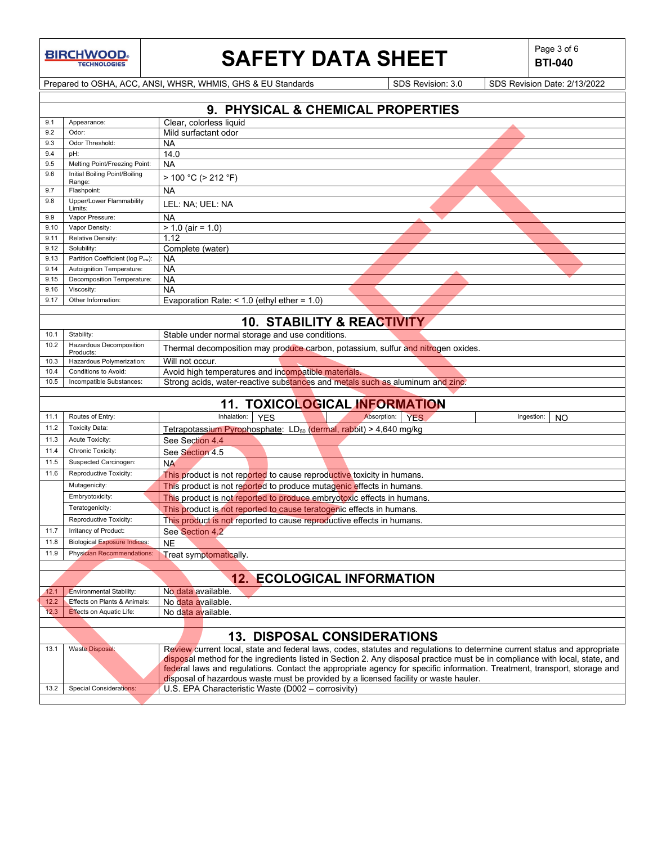# **SAFETY DATA SHEET**  $\left|\begin{array}{c} \text{Page 3 of 6} \\ \text{BIT-040} \end{array}\right|$

**BTI-040**

Prepared to OSHA, ACC, ANSI, WHSR, WHMIS, GHS & EU Standards Superiority SDS Revision: 3.0 SDS Revision Date: 2/13/2022

|              | 9. PHYSICAL & CHEMICAL PROPERTIES       |                                                                                                                             |  |  |  |
|--------------|-----------------------------------------|-----------------------------------------------------------------------------------------------------------------------------|--|--|--|
| 9.1          | Appearance:                             | Clear, colorless liquid                                                                                                     |  |  |  |
| 9.2          | Odor:                                   | Mild surfactant odor                                                                                                        |  |  |  |
| 9.3          | Odor Threshold:                         | <b>NA</b>                                                                                                                   |  |  |  |
| 9.4          | pH:                                     | 14.0                                                                                                                        |  |  |  |
| 9.5          | Melting Point/Freezing Point:           | <b>NA</b>                                                                                                                   |  |  |  |
| 9.6          | Initial Boiling Point/Boiling<br>Range: | > 100 °C (> 212 °F)                                                                                                         |  |  |  |
| 9.7          | Flashpoint:                             | <b>NA</b>                                                                                                                   |  |  |  |
| 9.8          | Upper/Lower Flammability<br>Limits:     | LEL: NA; UEL: NA                                                                                                            |  |  |  |
| 9.9          | Vapor Pressure:                         | <b>NA</b>                                                                                                                   |  |  |  |
| 9.10         | Vapor Density:                          | $> 1.0$ (air = 1.0)                                                                                                         |  |  |  |
| 9.11         | Relative Density:                       | 1.12                                                                                                                        |  |  |  |
| 9.12         | Solubility:                             | Complete (water)                                                                                                            |  |  |  |
| 9.13         | Partition Coefficient (log Pow):        | <b>NA</b>                                                                                                                   |  |  |  |
| 9.14         | Autoignition Temperature:               | <b>NA</b>                                                                                                                   |  |  |  |
| 9.15         | Decomposition Temperature:              | <b>NA</b>                                                                                                                   |  |  |  |
| 9.16<br>9.17 | Viscosity:<br>Other Information:        | <b>NA</b>                                                                                                                   |  |  |  |
|              |                                         | Evaporation Rate: $<$ 1.0 (ethyl ether = 1.0)                                                                               |  |  |  |
|              |                                         | <b>10. STABILITY &amp; REACTIVITY</b>                                                                                       |  |  |  |
| 10.1         | Stability:                              | Stable under normal storage and use conditions.                                                                             |  |  |  |
| 10.2         | Hazardous Decomposition<br>Products:    | Thermal decomposition may produce carbon, potassium, sulfur and nitrogen oxides.                                            |  |  |  |
| 10.3         | Hazardous Polymerization:               | Will not occur.                                                                                                             |  |  |  |
| 10.4         | Conditions to Avoid:                    | Avoid high temperatures and incompatible materials.                                                                         |  |  |  |
| 10.5         | Incompatible Substances:                | Strong acids, water-reactive substances and metals such as aluminum and zinc.                                               |  |  |  |
|              |                                         |                                                                                                                             |  |  |  |
|              |                                         | 11. TOXICOLOGICAL INFORMATION                                                                                               |  |  |  |
| 11.1         | Routes of Entry:                        | Inhalation:<br><b>YFS</b><br>Absorption:<br><b>YES</b><br>Ingestion:<br>NO                                                  |  |  |  |
| 11.2         | <b>Toxicity Data:</b>                   | Tetrapotassium Pyrophosphate: LD <sub>50</sub> (dermal, rabbit) > 4,640 mg/kg                                               |  |  |  |
| 11.3         | Acute Toxicity:                         | See Section 4.4                                                                                                             |  |  |  |
| 11.4         | Chronic Toxicity:                       | See Section 4.5                                                                                                             |  |  |  |
| 11.5         | Suspected Carcinogen:                   | <b>NA</b>                                                                                                                   |  |  |  |
| 11.6         | Reproductive Toxicity:                  | This product is not reported to cause reproductive toxicity in humans.                                                      |  |  |  |
|              | Mutagenicity:                           | This product is not reported to produce mutagenic effects in humans.                                                        |  |  |  |
|              | Embryotoxicity:                         | This product is not reported to produce embryotoxic effects in humans.                                                      |  |  |  |
|              | Teratogenicity:                         | This product is not reported to cause teratogenic effects in humans.                                                        |  |  |  |
|              | Reproductive Toxicity:                  | This product is not reported to cause reproductive effects in humans.                                                       |  |  |  |
| 11.7         | Irritancy of Product:                   | See Section 4.2                                                                                                             |  |  |  |
| 11.8         | <b>Biological Exposure Indices:</b>     | <b>NE</b>                                                                                                                   |  |  |  |
| 11.9         | <b>Physician Recommendations:</b>       | Treat symptomatically.                                                                                                      |  |  |  |
|              |                                         |                                                                                                                             |  |  |  |
|              |                                         | <b>ECOLOGICAL INFORMATION</b><br>12.                                                                                        |  |  |  |
| 12.1         | Environmental Stability:                | No data available.                                                                                                          |  |  |  |
| 12.2         | Effects on Plants & Animals:            | No data available.                                                                                                          |  |  |  |
| 12.3         | <b>Effects on Aquatic Life:</b>         | No data available.                                                                                                          |  |  |  |
|              |                                         |                                                                                                                             |  |  |  |
|              |                                         | <b>13. DISPOSAL CONSIDERATIONS</b>                                                                                          |  |  |  |
| 13.1         | <b>Waste Disposal:</b>                  | Review current local, state and federal laws, codes, statutes and regulations to determine current status and appropriate   |  |  |  |
|              |                                         | disposal method for the ingredients listed in Section 2. Any disposal practice must be in compliance with local, state, and |  |  |  |
|              |                                         | federal laws and regulations. Contact the appropriate agency for specific information. Treatment, transport, storage and    |  |  |  |
|              |                                         | disposal of hazardous waste must be provided by a licensed facility or waste hauler.                                        |  |  |  |
| 13.2         | <b>Special Considerations:</b>          | U.S. EPA Characteristic Waste (D002 - corrosivity)                                                                          |  |  |  |
|              |                                         |                                                                                                                             |  |  |  |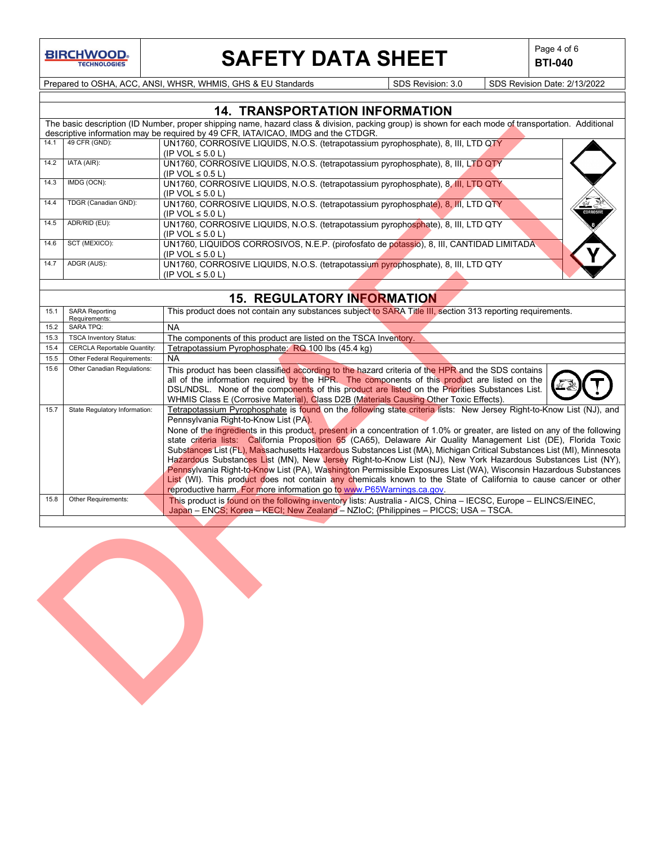

# **SAFETY DATA SHEET**  $\left|\begin{array}{c} \mathsf{Page 4 of 6} \\ \mathsf{BTI-040} \end{array}\right|$

**BTI-040**

Prepared to OSHA, ACC, ANSI, WHSR, WHMIS, GHS & EU Standards Superinted SDS Revision: 3.0 SDS Revision Date: 2/13/2022

|      |                      | <b>14. TRANSPORTATION INFORMATION</b>                                                                                                                |  |
|------|----------------------|------------------------------------------------------------------------------------------------------------------------------------------------------|--|
|      |                      | The basic description (ID Number, proper shipping name, hazard class & division, packing group) is shown for each mode of transportation. Additional |  |
|      |                      | descriptive information may be required by 49 CFR, IATA/ICAO, IMDG and the CTDGR.                                                                    |  |
| 14.1 | 49 CFR (GND):        | UN1760, CORROSIVE LIQUIDS, N.O.S. (tetrapotassium pyrophosphate), 8, III, LTD QTY                                                                    |  |
|      |                      | $(IP VOL \le 5.0 L)$                                                                                                                                 |  |
| 14.2 | IATA (AIR):          | UN1760, CORROSIVE LIQUIDS, N.O.S. (tetrapotassium pyrophosphate), 8, III, LTD QTY                                                                    |  |
|      |                      | $(IP VOL \leq 0.5 L)$                                                                                                                                |  |
| 14.3 | IMDG (OCN):          | UN1760, CORROSIVE LIQUIDS, N.O.S. (tetrapotassium pyrophosphate), 8, III, LTD QTY                                                                    |  |
|      |                      | (IP VOL $\leq 5.0$ L)                                                                                                                                |  |
| 14.4 | TDGR (Canadian GND): | UN1760, CORROSIVE LIQUIDS, N.O.S. (tetrapotassium pyrophosphate), 8, III, LTD QTY                                                                    |  |
|      |                      | <b>CORROSIVE</b><br>(IP VOL $\leq$ 5.0 L)                                                                                                            |  |
| 14.5 | ADR/RID (EU):        | UN1760, CORROSIVE LIQUIDS, N.O.S. (tetrapotassium pyrophosphate), 8, III, LTD QTY                                                                    |  |
|      |                      | $(IP VOL \le 5.0 L)$                                                                                                                                 |  |
| 14.6 | SCT (MEXICO):        | UN1760, LIQUIDOS CORROSIVOS, N.E.P. (pirofosfato de potassio), 8, III, CANTIDAD LIMITADA                                                             |  |
|      |                      | (IP VOL $\leq$ 5.0 L)                                                                                                                                |  |
| 14.7 | ADGR (AUS):          | UN1760, CORROSIVE LIQUIDS, N.O.S. (tetrapotassium pyrophosphate), 8, III, LTD QTY                                                                    |  |
|      |                      | (IP VOL $\leq$ 5.0 L)                                                                                                                                |  |
|      |                      |                                                                                                                                                      |  |

## **15. REGULATORY INFORMATION**

|      |                                    | The basic description (iD Number, proper smpping name, nazard class & division, packing group) is shown for each mode of transportation. Additional<br>descriptive information may be required by 49 CFR, IATA/ICAO, IMDG and the CTDGR. |
|------|------------------------------------|------------------------------------------------------------------------------------------------------------------------------------------------------------------------------------------------------------------------------------------|
| 14.1 | 49 CFR (GND):                      | UN1760, CORROSIVE LIQUIDS, N.O.S. (tetrapotassium pyrophosphate), 8, III, LTD QTY                                                                                                                                                        |
|      |                                    | (IP VOL $\leq$ 5.0 L)                                                                                                                                                                                                                    |
| 14.2 | IATA (AIR):                        | UN1760, CORROSIVE LIQUIDS, N.O.S. (tetrapotassium pyrophosphate), 8, III, LTD QTY                                                                                                                                                        |
|      |                                    | (IP VOL $\leq$ 0.5 L)                                                                                                                                                                                                                    |
| 14.3 | IMDG (OCN):                        | UN1760, CORROSIVE LIQUIDS, N.O.S. (tetrapotassium pyrophosphate), 8, III, LTD QTY                                                                                                                                                        |
|      |                                    | (IP VOL $\leq$ 5.0 L)                                                                                                                                                                                                                    |
| 14.4 | TDGR (Canadian GND):               | UN1760, CORROSIVE LIQUIDS, N.O.S. (tetrapotassium pyrophosphate), 8, III, LTD QTY                                                                                                                                                        |
|      |                                    | (IP VOL $\leq$ 5.0 L)                                                                                                                                                                                                                    |
| 14.5 | ADR/RID (EU):                      | UN1760, CORROSIVE LIQUIDS, N.O.S. (tetrapotassium pyrophosphate), 8, III, LTD QTY                                                                                                                                                        |
|      |                                    | (IP VOL $\leq$ 5.0 L)                                                                                                                                                                                                                    |
| 14.6 | SCT (MEXICO):                      | UN1760, LIQUIDOS CORROSIVOS, N.E.P. (pirofosfato de potassio), 8, III, CANTIDAD LIMITADA                                                                                                                                                 |
|      |                                    | (IP VOL $\leq$ 5.0 L)                                                                                                                                                                                                                    |
| 14.7 | ADGR (AUS):                        | UN1760, CORROSIVE LIQUIDS, N.O.S. (tetrapotassium pyrophosphate), 8, III, LTD QTY                                                                                                                                                        |
|      |                                    | (IP VOL $\leq$ 5.0 L)                                                                                                                                                                                                                    |
|      |                                    |                                                                                                                                                                                                                                          |
|      |                                    | <b>15. REGULATORY INFORMATION</b>                                                                                                                                                                                                        |
| 15.1 | <b>SARA Reporting</b>              | This product does not contain any substances subject to SARA Title III, section 313 reporting requirements.                                                                                                                              |
|      | Requirements:                      |                                                                                                                                                                                                                                          |
| 15.2 | <b>SARA TPQ:</b>                   | <b>NA</b>                                                                                                                                                                                                                                |
| 15.3 | <b>TSCA Inventory Status:</b>      | The components of this product are listed on the TSCA Inventory.                                                                                                                                                                         |
| 15.4 | <b>CERCLA Reportable Quantity:</b> | Tetrapotassium Pyrophosphate: RQ 100 lbs (45.4 kg)                                                                                                                                                                                       |
| 15.5 | Other Federal Requirements:        | <b>NA</b>                                                                                                                                                                                                                                |
| 15.6 | Other Canadian Regulations:        | This product has been classified according to the hazard criteria of the HPR and the SDS contains                                                                                                                                        |
|      |                                    | all of the information required by the HPR. The components of this product are listed on the                                                                                                                                             |
|      |                                    | DSL/NDSL. None of the components of this product are listed on the Priorities Substances List.                                                                                                                                           |
|      |                                    | WHMIS Class E (Corrosive Material), Class D2B (Materials Causing Other Toxic Effects).                                                                                                                                                   |
| 15.7 | State Regulatory Information:      | Tetrapotassium Pyrophosphate is found on the following state criteria lists: New Jersey Right-to-Know List (NJ), and                                                                                                                     |
|      |                                    | Pennsylvania Right-to-Know List (PA).                                                                                                                                                                                                    |
|      |                                    | None of the ingredients in this product, present in a concentration of 1.0% or greater, are listed on any of the following                                                                                                               |
|      |                                    | state criteria lists: California Proposition 65 (CA65), Delaware Air Quality Management List (DE), Florida Toxic                                                                                                                         |
|      |                                    | Substances List (FL), Massachusetts Hazardous Substances List (MA), Michigan Critical Substances List (MI), Minnesota                                                                                                                    |
|      |                                    | Hazardous Substances List (MN), New Jersey Right-to-Know List (NJ), New York Hazardous Substances List (NY),                                                                                                                             |
|      |                                    | Pennsylvania Right-to-Know List (PA), Washington Permissible Exposures List (WA), Wisconsin Hazardous Substances                                                                                                                         |
|      |                                    | List (WI). This product does not contain any chemicals known to the State of California to cause cancer or other                                                                                                                         |
|      |                                    | reproductive harm. For more information go to www.P65Warnings.ca.gov.                                                                                                                                                                    |
| 15.8 | Other Requirements:                | This product is found on the following inventory lists: Australia - AICS, China - IECSC, Europe - ELINCS/EINEC,                                                                                                                          |
|      |                                    | Japan - ENCS; Korea - KECI; New Zealand - NZIoC; {Philippines - PICCS; USA - TSCA.                                                                                                                                                       |
|      |                                    |                                                                                                                                                                                                                                          |
|      |                                    |                                                                                                                                                                                                                                          |
|      |                                    |                                                                                                                                                                                                                                          |
|      |                                    |                                                                                                                                                                                                                                          |
|      |                                    |                                                                                                                                                                                                                                          |
|      |                                    |                                                                                                                                                                                                                                          |
|      |                                    |                                                                                                                                                                                                                                          |
|      |                                    |                                                                                                                                                                                                                                          |
|      |                                    |                                                                                                                                                                                                                                          |
|      |                                    |                                                                                                                                                                                                                                          |
|      |                                    |                                                                                                                                                                                                                                          |
|      |                                    |                                                                                                                                                                                                                                          |
|      |                                    |                                                                                                                                                                                                                                          |
|      |                                    |                                                                                                                                                                                                                                          |
|      |                                    |                                                                                                                                                                                                                                          |
|      |                                    |                                                                                                                                                                                                                                          |
|      |                                    |                                                                                                                                                                                                                                          |
|      |                                    |                                                                                                                                                                                                                                          |
|      |                                    |                                                                                                                                                                                                                                          |

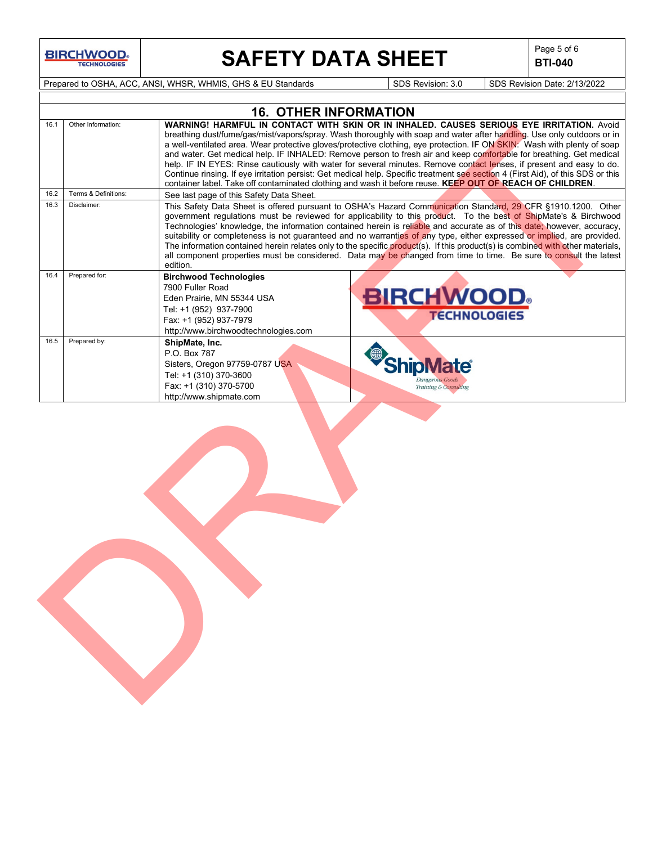# **SAFETY DATA SHEET**  $\left|\begin{array}{cc} \text{Page 5 of 6} \\ \text{BIT-040} \end{array}\right|$

**BTI-040**

Prepared to OSHA, ACC, ANSI, WHSR, WHMIS, GHS & EU Standards Superiority SDS Revision: 3.0 SDS Revision Date: 2/13/2022

|      |                      | <b>16. OTHER INFORMATION</b>                                                                                                                                                                                                                                                                                                                                                                                                                                                                                                                                                                                                                                                                                                                                                                                                                          |
|------|----------------------|-------------------------------------------------------------------------------------------------------------------------------------------------------------------------------------------------------------------------------------------------------------------------------------------------------------------------------------------------------------------------------------------------------------------------------------------------------------------------------------------------------------------------------------------------------------------------------------------------------------------------------------------------------------------------------------------------------------------------------------------------------------------------------------------------------------------------------------------------------|
| 16.1 | Other Information:   | <b>WARNING! HARMFUL IN CONTACT WITH SKIN OR IN INHALED. CAUSES SERIOUS EYE IRRITATION. Avoid</b><br>breathing dust/fume/gas/mist/vapors/spray. Wash thoroughly with soap and water after handling. Use only outdoors or in<br>a well-ventilated area. Wear protective gloves/protective clothing, eye protection. IF ON SKIN: Wash with plenty of soap<br>and water. Get medical help. IF INHALED: Remove person to fresh air and keep comfortable for breathing. Get medical<br>help. IF IN EYES: Rinse cautiously with water for several minutes. Remove contact lenses, if present and easy to do.<br>Continue rinsing. If eye irritation persist: Get medical help. Specific treatment see section 4 (First Aid), of this SDS or this<br>container label. Take off contaminated clothing and wash it before reuse. KEEP OUT OF REACH OF CHILDREN. |
| 16.2 | Terms & Definitions: | See last page of this Safety Data Sheet.                                                                                                                                                                                                                                                                                                                                                                                                                                                                                                                                                                                                                                                                                                                                                                                                              |
| 16.3 | Disclaimer:          | This Safety Data Sheet is offered pursuant to OSHA's Hazard Communication Standard, 29 CFR §1910.1200. Other<br>government regulations must be reviewed for applicability to this product. To the best of ShipMate's & Birchwood<br>Technologies' knowledge, the information contained herein is reliable and accurate as of this date, however, accuracy,<br>suitability or completeness is not guaranteed and no warranties of any type, either expressed or implied, are provided.<br>The information contained herein relates only to the specific product(s). If this product(s) is combined with other materials,<br>all component properties must be considered. Data may be changed from time to time. Be sure to consult the latest<br>edition.                                                                                              |
| 16.4 | Prepared for:        | <b>Birchwood Technologies</b><br>7900 Fuller Road<br><b>BIRCHWOOD</b><br>Eden Prairie, MN 55344 USA<br>Tel: +1 (952) 937-7900<br><b>TECHNOLOGIES</b><br>Fax: +1 (952) 937-7979<br>http://www.birchwoodtechnologies.com                                                                                                                                                                                                                                                                                                                                                                                                                                                                                                                                                                                                                                |
| 16.5 | Prepared by:         | ShipMate, Inc.<br>P.O. Box 787<br><b>ShipMate®</b><br>Sisters, Oregon 97759-0787 USA<br>Tel: +1 (310) 370-3600<br>Dangerous Goods<br>Fax: +1 (310) 370-5700<br>Training & Consulting<br>http://www.shipmate.com                                                                                                                                                                                                                                                                                                                                                                                                                                                                                                                                                                                                                                       |
|      |                      |                                                                                                                                                                                                                                                                                                                                                                                                                                                                                                                                                                                                                                                                                                                                                                                                                                                       |